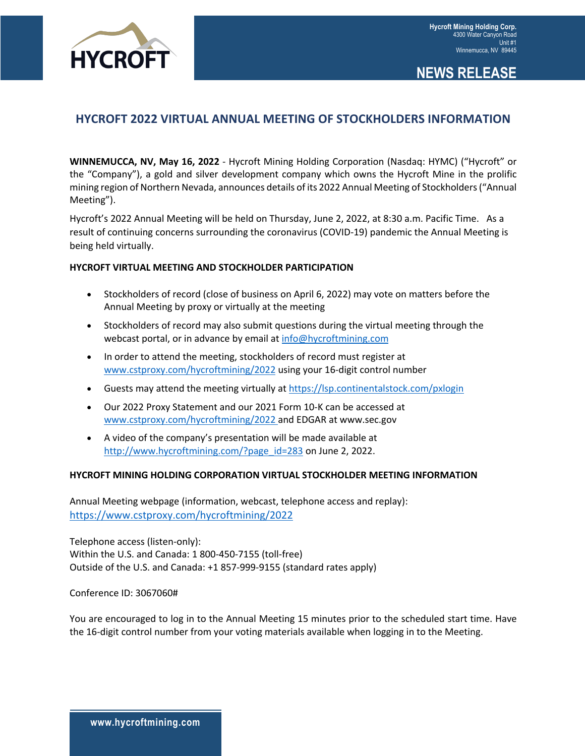

# **NEWS RELEASE**

## **HYCROFT 2022 VIRTUAL ANNUAL MEETING OF STOCKHOLDERS INFORMATION**

**WINNEMUCCA, NV, May 16, 2022** - Hycroft Mining Holding Corporation (Nasdaq: HYMC) ("Hycroft" or the "Company"), a gold and silver development company which owns the Hycroft Mine in the prolific mining region of Northern Nevada, announces details of its 2022 Annual Meeting of Stockholders ("Annual Meeting").

Hycroft's 2022 Annual Meeting will be held on Thursday, June 2, 2022, at 8:30 a.m. Pacific Time. As a result of continuing concerns surrounding the coronavirus (COVID-19) pandemic the Annual Meeting is being held virtually.

#### **HYCROFT VIRTUAL MEETING AND STOCKHOLDER PARTICIPATION**

- Stockholders of record (close of business on April 6, 2022) may vote on matters before the Annual Meeting by proxy or virtually at the meeting
- Stockholders of record may also submit questions during the virtual meeting through the webcast portal, or in advance by email at info@hycroftmining.com
- In order to attend the meeting, stockholders of record must register at www.cstproxy.com/hycroftmining/2022 using your 16-digit control number
- Guests may attend the meeting virtually at https://lsp.continentalstock.com/pxlogin
- Our 2022 Proxy Statement and our 2021 Form 10-K can be accessed at www.cstproxy.com/hycroftmining/2022 and EDGAR at www.sec.gov
- A video of the company's presentation will be made available at http://www.hycroftmining.com/?page\_id=283 on June 2, 2022.

#### **HYCROFT MINING HOLDING CORPORATION VIRTUAL STOCKHOLDER MEETING INFORMATION**

Annual Meeting webpage (information, webcast, telephone access and replay): https://www.cstproxy.com/hycroftmining/2022

Telephone access (listen-only): Within the U.S. and Canada: 1 800-450-7155 (toll-free) Outside of the U.S. and Canada: +1 857-999-9155 (standard rates apply)

Conference ID: 3067060#

You are encouraged to log in to the Annual Meeting 15 minutes prior to the scheduled start time. Have the 16-digit control number from your voting materials available when logging in to the Meeting.